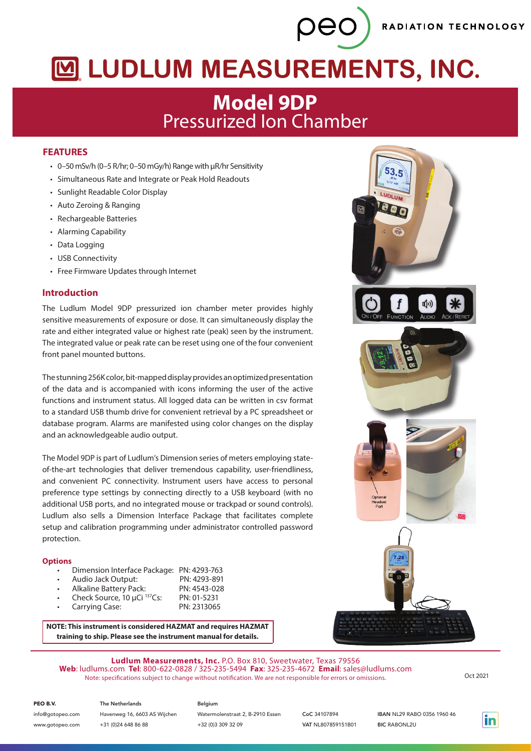RADIATION TECHNOLOGY

# MUDLUM MEASUREMENTS, INC.

peo

## **Model 9DP** Pressurized Ion Chamber

#### **FEATURES**

- 0–50 mSv/h (0–5 R/hr; 0–50 mGy/h) Range with μR/hr Sensitivity
- Simultaneous Rate and Integrate or Peak Hold Readouts
- Sunlight Readable Color Display
- Auto Zeroing & Ranging
- Rechargeable Batteries
- Alarming Capability
- Data Logging
- USB Connectivity
- Free Firmware Updates through Internet

#### **Introduction**

The Ludlum Model 9DP pressurized ion chamber meter provides highly sensitive measurements of exposure or dose. It can simultaneously display the rate and either integrated value or highest rate (peak) seen by the instrument. The integrated value or peak rate can be reset using one of the four convenient front panel mounted buttons.

The stunning 256K color, bit-mapped display provides an optimized presentation of the data and is accompanied with icons informing the user of the active functions and instrument status. All logged data can be written in csv format to a standard USB thumb drive for convenient retrieval by a PC spreadsheet or database program. Alarms are manifested using color changes on the display and an acknowledgeable audio output.

The Model 9DP is part of Ludlum's Dimension series of meters employing stateof-the-art technologies that deliver tremendous capability, user-friendliness, and convenient PC connectivity. Instrument users have access to personal preference type settings by connecting directly to a USB keyboard (with no additional USB ports, and no integrated mouse or trackpad or sound controls). Ludlum also sells a Dimension Interface Package that facilitates complete setup and calibration programming under administrator controlled password protection.

#### **Options**

- Dimension Interface Package: PN: 4293-763
- Audio Jack Output: PN: 4293-891
- Alkaline Battery Pack: PN: 4543-028
- Check Source, 10 μCi 137Cs: PN: 01-5231 Carrying Case:

**NOTE: This instrument is considered HAZMAT and requires HAZMAT training to ship. Please see the instrument manual for details.**



**Ludlum Measurements, Inc.** P.O. Box 810, Sweetwater, Texas 79556 **Web**: ludlums.com **Tel**: 800-622-0828 / 325-235-5494 **Fax**: 325-235-4672 **Email**: sales@ludlums.com Note: specifications subject to change without notification. We are not responsible for errors or omissions. Oct 2021

PEO B.V.

Havenweg 16, 6603 AS Wijchen +31 (0)24 648 86 88 info@gotopeo.com www.gotopeo.com

The Netherlands

### Belgium

Watermolenstraat 2, B-2910 Essen +32 (0)3 309 32 09

CoC 34107894 VAT NL807859151B01 IBAN NL29 RABO 0356 1960 46 **BIC RABONL2U**